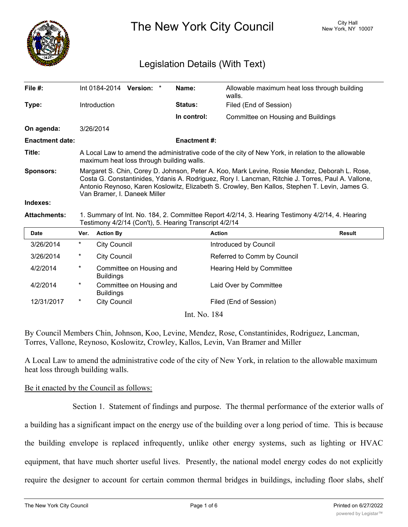

The New York City Council New York, NY 10007

# Legislation Details (With Text)

| File $#$ :             |                                                                                                                                                                                                                                                                                                                                       | Int 0184-2014 Version: * |                          |  | Name:               | Allowable maximum heat loss through building<br>walls. |               |
|------------------------|---------------------------------------------------------------------------------------------------------------------------------------------------------------------------------------------------------------------------------------------------------------------------------------------------------------------------------------|--------------------------|--------------------------|--|---------------------|--------------------------------------------------------|---------------|
| Type:                  |                                                                                                                                                                                                                                                                                                                                       | Introduction             |                          |  | Status:             | Filed (End of Session)                                 |               |
|                        |                                                                                                                                                                                                                                                                                                                                       |                          |                          |  | In control:         | Committee on Housing and Buildings                     |               |
| On agenda:             |                                                                                                                                                                                                                                                                                                                                       | 3/26/2014                |                          |  |                     |                                                        |               |
| <b>Enactment date:</b> |                                                                                                                                                                                                                                                                                                                                       |                          |                          |  | <b>Enactment #:</b> |                                                        |               |
| Title:                 | A Local Law to amend the administrative code of the city of New York, in relation to the allowable<br>maximum heat loss through building walls.                                                                                                                                                                                       |                          |                          |  |                     |                                                        |               |
| <b>Sponsors:</b>       | Margaret S. Chin, Corey D. Johnson, Peter A. Koo, Mark Levine, Rosie Mendez, Deborah L. Rose,<br>Costa G. Constantinides, Ydanis A. Rodriguez, Rory I. Lancman, Ritchie J. Torres, Paul A. Vallone,<br>Antonio Reynoso, Karen Koslowitz, Elizabeth S. Crowley, Ben Kallos, Stephen T. Levin, James G.<br>Van Bramer, I. Daneek Miller |                          |                          |  |                     |                                                        |               |
| Indexes:               |                                                                                                                                                                                                                                                                                                                                       |                          |                          |  |                     |                                                        |               |
| <b>Attachments:</b>    | 1. Summary of Int. No. 184, 2. Committee Report 4/2/14, 3. Hearing Testimony 4/2/14, 4. Hearing<br>Testimony 4/2/14 (Con't), 5. Hearing Transcript 4/2/14                                                                                                                                                                             |                          |                          |  |                     |                                                        |               |
| <b>Date</b>            | Ver.                                                                                                                                                                                                                                                                                                                                  | <b>Action By</b>         |                          |  | <b>Action</b>       |                                                        | <b>Result</b> |
| 3/26/2014              | $^\star$                                                                                                                                                                                                                                                                                                                              | <b>City Council</b>      |                          |  |                     | Introduced by Council                                  |               |
| 3/26/2014              | $^\star$                                                                                                                                                                                                                                                                                                                              | <b>City Council</b>      |                          |  |                     | Referred to Comm by Council                            |               |
| 4/2/2014               | $^\star$                                                                                                                                                                                                                                                                                                                              | <b>Buildings</b>         | Committee on Housing and |  |                     | Hearing Held by Committee                              |               |
| 4/2/2014               | $^\star$                                                                                                                                                                                                                                                                                                                              | <b>Buildings</b>         | Committee on Housing and |  |                     | Laid Over by Committee                                 |               |
| 12/31/2017             | *                                                                                                                                                                                                                                                                                                                                     | <b>City Council</b>      |                          |  |                     | Filed (End of Session)                                 |               |

Int. No. 184

By Council Members Chin, Johnson, Koo, Levine, Mendez, Rose, Constantinides, Rodriguez, Lancman, Torres, Vallone, Reynoso, Koslowitz, Crowley, Kallos, Levin, Van Bramer and Miller

A Local Law to amend the administrative code of the city of New York, in relation to the allowable maximum heat loss through building walls.

### Be it enacted by the Council as follows:

Section 1. Statement of findings and purpose. The thermal performance of the exterior walls of a building has a significant impact on the energy use of the building over a long period of time. This is because the building envelope is replaced infrequently, unlike other energy systems, such as lighting or HVAC equipment, that have much shorter useful lives. Presently, the national model energy codes do not explicitly require the designer to account for certain common thermal bridges in buildings, including floor slabs, shelf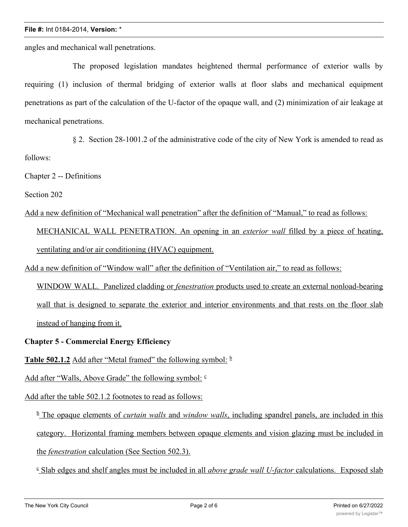#### **File #:** Int 0184-2014, **Version:** \*

angles and mechanical wall penetrations.

The proposed legislation mandates heightened thermal performance of exterior walls by requiring (1) inclusion of thermal bridging of exterior walls at floor slabs and mechanical equipment penetrations as part of the calculation of the U-factor of the opaque wall, and (2) minimization of air leakage at mechanical penetrations.

§ 2. Section 28-1001.2 of the administrative code of the city of New York is amended to read as follows:

Chapter 2 -- Definitions

Section 202

Add a new definition of "Mechanical wall penetration" after the definition of "Manual," to read as follows:

MECHANICAL WALL PENETRATION. An opening in an *exterior wall* filled by a piece of heating, ventilating and/or air conditioning (HVAC) equipment.

Add a new definition of "Window wall" after the definition of "Ventilation air," to read as follows:

WINDOW WALL. Panelized cladding or *fenestration* products used to create an external nonload-bearing wall that is designed to separate the exterior and interior environments and that rests on the floor slab instead of hanging from it.

### **Chapter 5 - Commercial Energy Efficiency**

**Table 502.1.2** Add after "Metal framed" the following symbol:  $\frac{b}{2}$ 

Add after "Walls, Above Grade" the following symbol:  $\epsilon$ 

Add after the table 502.1.2 footnotes to read as follows:

<sup>b</sup> The opaque elements of *curtain walls* and *window walls*, including spandrel panels, are included in this category. Horizontal framing members between opaque elements and vision glazing must be included in the *fenestration* calculation (See Section 502.3).

<sup>c</sup> Slab edges and shelf angles must be included in all *above grade wall U-factor* calculations. Exposed slab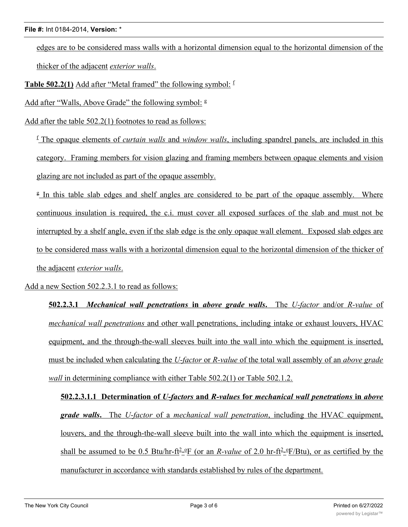edges are to be considered mass walls with a horizontal dimension equal to the horizontal dimension of the thicker of the adjacent *exterior walls*.

**Table 502.2(1)** Add after "Metal framed" the following symbol:  $\frac{f}{f}$ 

Add after "Walls, Above Grade" the following symbol:  $\frac{g}{g}$ 

Add after the table 502.2(1) footnotes to read as follows:

<sup>f</sup> The opaque elements of *curtain walls* and *window walls*, including spandrel panels, are included in this category. Framing members for vision glazing and framing members between opaque elements and vision glazing are not included as part of the opaque assembly.

<sup>g</sup> In this table slab edges and shelf angles are considered to be part of the opaque assembly. Where continuous insulation is required, the c.i. must cover all exposed surfaces of the slab and must not be interrupted by a shelf angle, even if the slab edge is the only opaque wall element. Exposed slab edges are to be considered mass walls with a horizontal dimension equal to the horizontal dimension of the thicker of the adjacent *exterior walls*.

Add a new Section 502.2.3.1 to read as follows:

**502.2.3.1** *Mechanical wall penetrations* **in** *above grade walls***.** The *U-factor* and/or *R-value* of *mechanical wall penetrations* and other wall penetrations, including intake or exhaust louvers, HVAC equipment, and the through-the-wall sleeves built into the wall into which the equipment is inserted, must be included when calculating the *U-factor* or *R-value* of the total wall assembly of an *above grade wall* in determining compliance with either Table 502.2(1) or Table 502.1.2.

**502.2.3.1.1 Determination of** *U-factors* **and** *R-values* **for** *mechanical wall penetrations* **in** *above grade walls***.** The *U-factor* of a *mechanical wall penetration*, including the HVAC equipment, louvers, and the through-the-wall sleeve built into the wall into which the equipment is inserted, shall be assumed to be 0.5 Btu/hr-ft<sup>2</sup>-<sup>o</sup>F (or an *R-value* of 2.0 hr-ft<sup>2</sup>-<sup>o</sup>F/Btu), or as certified by the manufacturer in accordance with standards established by rules of the department.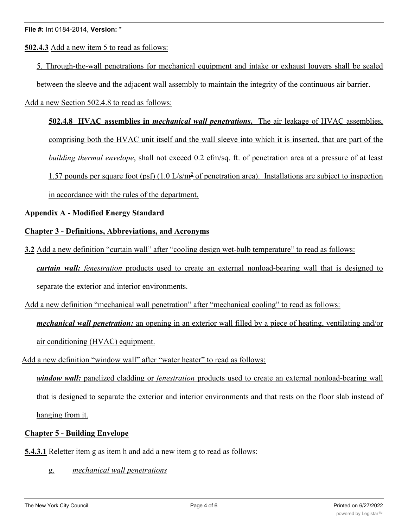**502.4.3** Add a new item 5 to read as follows:

5. Through-the-wall penetrations for mechanical equipment and intake or exhaust louvers shall be sealed

between the sleeve and the adjacent wall assembly to maintain the integrity of the continuous air barrier.

Add a new Section 502.4.8 to read as follows:

**502.4.8 HVAC assemblies in** *mechanical wall penetrations***.** The air leakage of HVAC assemblies, comprising both the HVAC unit itself and the wall sleeve into which it is inserted, that are part of the *building thermal envelope*, shall not exceed 0.2 cfm/sq. ft. of penetration area at a pressure of at least 1.57 pounds per square foot (psf)  $(1.0 \text{ L/s/m}^2 \text{ of penetration area})$ . Installations are subject to inspection in accordance with the rules of the department.

### **Appendix A - Modified Energy Standard**

## **Chapter 3 - Definitions, Abbreviations, and Acronyms**

**3.2** Add a new definition "curtain wall" after "cooling design wet-bulb temperature" to read as follows: *curtain wall: fenestration* products used to create an external nonload-bearing wall that is designed to separate the exterior and interior environments.

Add a new definition "mechanical wall penetration" after "mechanical cooling" to read as follows:

*mechanical wall penetration:* an opening in an exterior wall filled by a piece of heating, ventilating and/or air conditioning (HVAC) equipment.

Add a new definition "window wall" after "water heater" to read as follows:

*window wall:* panelized cladding or *fenestration* products used to create an external nonload-bearing wall that is designed to separate the exterior and interior environments and that rests on the floor slab instead of hanging from it.

# **Chapter 5 - Building Envelope**

- **5.4.3.1** Reletter item g as item h and add a new item g to read as follows:
	- g. *mechanical wall penetrations*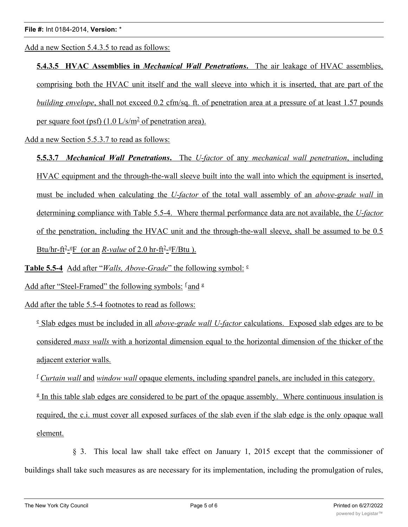Add a new Section 5.4.3.5 to read as follows:

**5.4.3.5 HVAC Assemblies in** *Mechanical Wall Penetrations***.** The air leakage of HVAC assemblies, comprising both the HVAC unit itself and the wall sleeve into which it is inserted, that are part of the *building envelope*, shall not exceed 0.2 cfm/sq. ft. of penetration area at a pressure of at least 1.57 pounds per square foot (psf)  $(1.0 \text{ L/s/m}^2)$  of penetration area).

Add a new Section 5.5.3.7 to read as follows:

**5.5.3.7** *Mechanical Wall Penetrations***.** The *U-factor* of any *mechanical wall penetration*, including HVAC equipment and the through-the-wall sleeve built into the wall into which the equipment is inserted, must be included when calculating the *U-factor* of the total wall assembly of an *above-grade wall* in determining compliance with Table 5.5-4. Where thermal performance data are not available, the *U-factor* of the penetration, including the HVAC unit and the through-the-wall sleeve, shall be assumed to be 0.5  $B$ tu/hr-ft<sup>2</sup>-<sup>o</sup>F (or an *R-value* of 2.0 hr-ft<sup>2</sup>-<sup>o</sup>F/Btu).

**Table 5.5-4** Add after "*Walls, Above-Grade*" the following symbol: <sup>e</sup>

Add after "Steel-Framed" the following symbols:  $\frac{f}{g}$  and  $\frac{g}{g}$ 

Add after the table 5.5-4 footnotes to read as follows:

<sup>e</sup> Slab edges must be included in all *above-grade wall U-factor* calculations. Exposed slab edges are to be considered *mass walls* with a horizontal dimension equal to the horizontal dimension of the thicker of the adjacent exterior walls.

<sup>f</sup> *Curtain wall* and *window wall* opaque elements, including spandrel panels, are included in this category.

<sup>g</sup> In this table slab edges are considered to be part of the opaque assembly. Where continuous insulation is required, the c.i. must cover all exposed surfaces of the slab even if the slab edge is the only opaque wall element.

§ 3. This local law shall take effect on January 1, 2015 except that the commissioner of buildings shall take such measures as are necessary for its implementation, including the promulgation of rules,